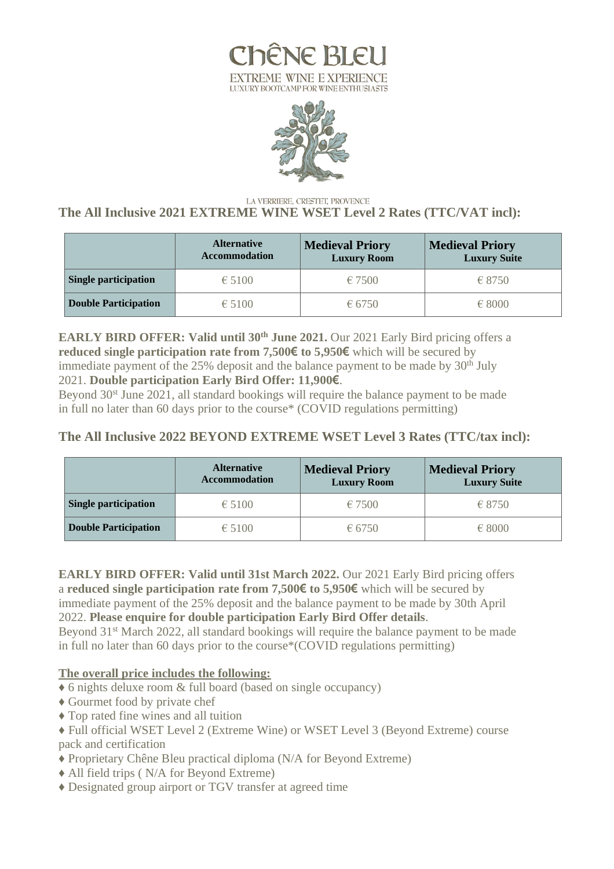



#### LA VERRIERE, CRESTET, PROVENCE **The All Inclusive 2021 EXTREME WINE WSET Level 2 Rates (TTC/VAT incl):**

|                             | <b>Alternative</b><br><b>Accommodation</b> | <b>Medieval Priory</b><br><b>Luxury Room</b> | <b>Medieval Priory</b><br><b>Luxury Suite</b> |
|-----------------------------|--------------------------------------------|----------------------------------------------|-----------------------------------------------|
| Single participation        | $\epsilon$ 5100                            | €7500                                        | $-6.8750$                                     |
| <b>Double Participation</b> | $\epsilon$ 5100                            | € 6750                                       | $-68000$                                      |

**EARLY BIRD OFFER: Valid until 30 th June 2021.** Our 2021 Early Bird pricing offers a **reduced single participation rate from 7,500€ to 5,950€** which will be secured by immediate payment of the  $25\%$  deposit and the balance payment to be made by  $30<sup>th</sup>$  July 2021. **Double participation Early Bird Offer: 11,900€**.

Beyond 30<sup>st</sup> June 2021, all standard bookings will require the balance payment to be made in full no later than 60 days prior to the course\* (COVID regulations permitting)

## **The All Inclusive 2022 BEYOND EXTREME WSET Level 3 Rates (TTC/tax incl):**

|                             | <b>Alternative</b><br><b>Accommodation</b> | <b>Medieval Priory</b><br><b>Luxury Room</b> | <b>Medieval Priory</b><br><b>Luxury Suite</b> |
|-----------------------------|--------------------------------------------|----------------------------------------------|-----------------------------------------------|
| <b>Single participation</b> | $\epsilon$ 5100                            | €7500                                        | $-6.8750$                                     |
| <b>Double Participation</b> | $\epsilon$ 5100                            | € 6750                                       | $-68000$                                      |

**EARLY BIRD OFFER: Valid until 31st March 2022.** Our 2021 Early Bird pricing offers a **reduced single participation rate from 7,500€ to 5,950€** which will be secured by immediate payment of the 25% deposit and the balance payment to be made by 30th April 2022. **Please enquire for double participation Early Bird Offer details**.

Beyond 31<sup>st</sup> March 2022, all standard bookings will require the balance payment to be made in full no later than 60 days prior to the course\*(COVID regulations permitting)

### **The overall price includes the following:**

- ♦ 6 nights deluxe room & full board (based on single occupancy)
- ♦ Gourmet food by private chef
- ♦ Top rated fine wines and all tuition
- ♦ Full official WSET Level 2 (Extreme Wine) or WSET Level 3 (Beyond Extreme) course pack and certification
- ♦ Proprietary Chêne Bleu practical diploma (N/A for Beyond Extreme)
- ♦ All field trips ( N/A for Beyond Extreme)
- ♦ Designated group airport or TGV transfer at agreed time